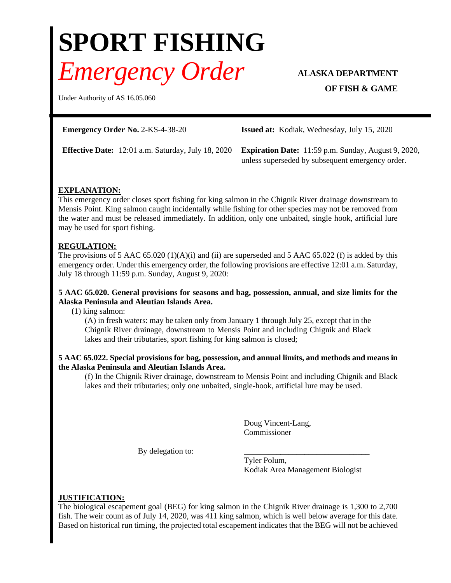# **SPORT FISHING** *Emergency Order* **ALASKA DEPARTMENT**

# **OF FISH & GAME**

Under Authority of AS 16.05.060

**Emergency Order No.** 2-KS-4-38-20 **Issued at:** Kodiak, Wednesday, July 15, 2020

**Effective Date:** 12:01 a.m. Saturday, July 18, 2020 **Expiration Date:** 11:59 p.m. Sunday, August 9, 2020, unless superseded by subsequent emergency order.

## **EXPLANATION:**

This emergency order closes sport fishing for king salmon in the Chignik River drainage downstream to Mensis Point. King salmon caught incidentally while fishing for other species may not be removed from the water and must be released immediately. In addition, only one unbaited, single hook, artificial lure may be used for sport fishing.

## **REGULATION:**

The provisions of 5 AAC 65.020 (1)(A)(i) and (ii) are superseded and 5 AAC 65.022 (f) is added by this emergency order. Under this emergency order, the following provisions are effective 12:01 a.m. Saturday, July 18 through 11:59 p.m. Sunday, August 9, 2020:

#### **5 AAC 65.020. General provisions for seasons and bag, possession, annual, and size limits for the Alaska Peninsula and Aleutian Islands Area.**

(1) king salmon:

(A) in fresh waters: may be taken only from January 1 through July 25, except that in the Chignik River drainage, downstream to Mensis Point and including Chignik and Black lakes and their tributaries, sport fishing for king salmon is closed;

#### **5 AAC 65.022. Special provisions for bag, possession, and annual limits, and methods and means in the Alaska Peninsula and Aleutian Islands Area.**

(f) In the Chignik River drainage, downstream to Mensis Point and including Chignik and Black lakes and their tributaries; only one unbaited, single-hook, artificial lure may be used.

> Doug Vincent-Lang, Commissioner

By delegation to:

Tyler Polum, Kodiak Area Management Biologist

#### **JUSTIFICATION:**

The biological escapement goal (BEG) for king salmon in the Chignik River drainage is 1,300 to 2,700 fish. The weir count as of July 14, 2020, was 411 king salmon, which is well below average for this date. Based on historical run timing, the projected total escapement indicates that the BEG will not be achieved